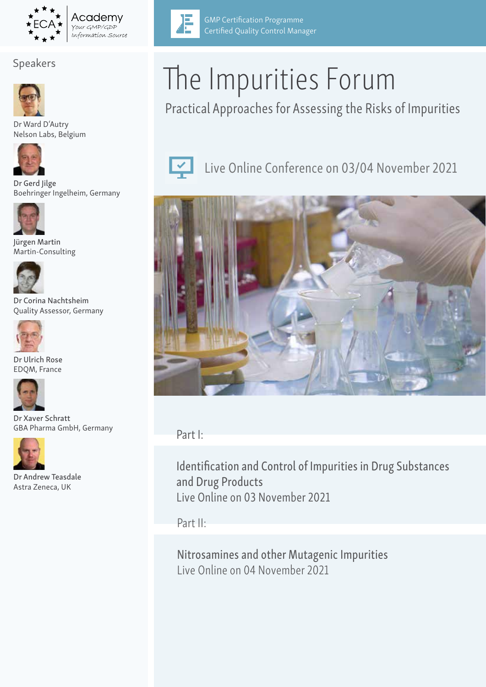

## Speakers



Dr Ward D'Autry Nelson Labs, Belgium



Dr Gerd Jilge Boehringer Ingelheim, Germany



Jürgen Martin Martin-Consulting



Dr Corina Nachtsheim Quality Assessor, Germany



Dr Ulrich Rose EDQM, France



Dr Xaver Schratt GBA Pharma GmbH, Germany



Dr Andrew Teasdale Astra Zeneca, UK



GMP Certification Programme Certified Quality Control Manager

Practical Approaches for Assessing the Risks of Impurities



Live Online Conference on 03/04 November 2021



Part I:

Identification and Control of Impurities in Drug Substances and Drug Products Live Online on 03 November 2021

Part II:

Nitrosamines and other Mutagenic Impurities Live Online on 04 November 2021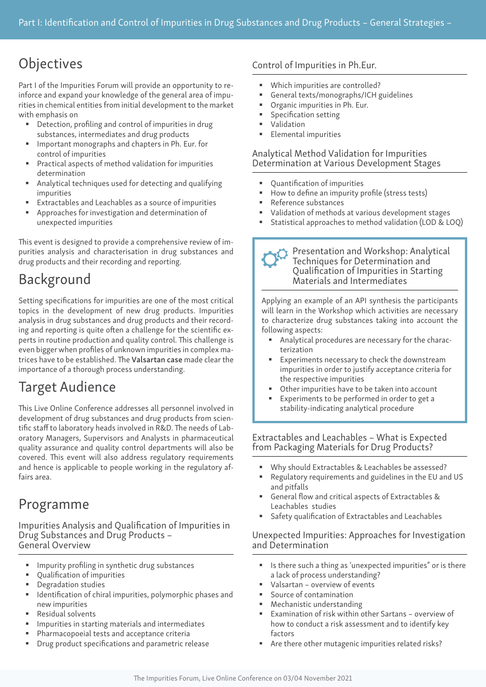# **Objectives**

Part I of the Impurities Forum will provide an opportunity to reinforce and expand your knowledge of the general area of impurities in chemical entities from initial development to the market with emphasis on

- Detection, profiling and control of impurities in drug substances, intermediates and drug products
- Important monographs and chapters in Ph. Eur. for control of impurities
- Practical aspects of method validation for impurities determination
- Analytical techniques used for detecting and qualifying impurities
- Extractables and Leachables as a source of impurities
- Approaches for investigation and determination of unexpected impurities

This event is designed to provide a comprehensive review of impurities analysis and characterisation in drug substances and drug products and their recording and reporting.

# Background

Setting specifications for impurities are one of the most critical topics in the development of new drug products. Impurities analysis in drug substances and drug products and their recording and reporting is quite often a challenge for the scientific experts in routine production and quality control. This challenge is even bigger when profiles of unknown impurities in complex matrices have to be established. The Valsartan case made clear the importance of a thorough process understanding.

# Target Audience

This Live Online Conference addresses all personnel involved in development of drug substances and drug products from scientific staff to laboratory heads involved in R&D. The needs of Laboratory Managers, Supervisors and Analysts in pharmaceutical quality assurance and quality control departments will also be covered. This event will also address regulatory requirements and hence is applicable to people working in the regulatory affairs area.

# Programme

Impurities Analysis and Qualification of Impurities in Drug Substances and Drug Products – General Overview

- Impurity profiling in synthetic drug substances
- Qualification of impurities
- Degradation studies
- **IDENTIFICATE:** Identification of chiral impurities, polymorphic phases and new impurities
- Residual solvents
- **IMPURIER IN STARTE IN STARTE IN STARTE IN STARTE IN STARTE IN STARTE I**
- Pharmacopoeial tests and acceptance criteria
- **Drug product specifications and parametric release**

## Control of Impurities in Ph.Eur.

- Which impurities are controlled?
- General texts/monographs/ICH guidelines
- **•** Organic impurities in Ph. Eur.
- Specification setting
- Validation
- **Elemental impurities**

### Analytical Method Validation for Impurities Determination at Various Development Stages

- Quantification of impurities
- How to define an impurity profile (stress tests)
- Reference substances
- Validation of methods at various development stages
- Statistical approaches to method validation (LOD & LOQ)

#### Presentation and Workshop: Analytical Techniques for Determination and Qualification of Impurities in Starting Materials and Intermediates

Applying an example of an API synthesis the participants will learn in the Workshop which activities are necessary to characterize drug substances taking into account the following aspects:

- Analytical procedures are necessary for the characterization
- Experiments necessary to check the downstream impurities in order to justify acceptance criteria for the respective impurities
- Other impurities have to be taken into account
- Experiments to be performed in order to get a stability-indicating analytical procedure

#### Extractables and Leachables – What is Expected from Packaging Materials for Drug Products?

- Why should Extractables & Leachables be assessed?
- Regulatory requirements and guidelines in the EU and US and pitfalls
- General flow and critical aspects of Extractables & Leachables studies
- Safety qualification of Extractables and Leachables

#### Unexpected Impurities: Approaches for Investigation and Determination

- Is there such a thing as 'unexpected impurities" or is there a lack of process understanding?
- Valsartan overview of events
- Source of contamination
- Mechanistic understanding
- Examination of risk within other Sartans overview of how to conduct a risk assessment and to identify key factors
- Are there other mutagenic impurities related risks?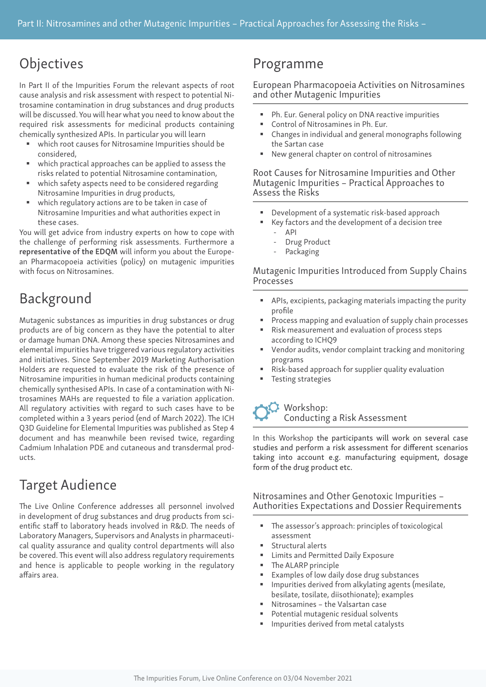# **Objectives**

In Part II of the Impurities Forum the relevant aspects of root cause analysis and risk assessment with respect to potential Nitrosamine contamination in drug substances and drug products will be discussed. You will hear what you need to know about the required risk assessments for medicinal products containing chemically synthesized APIs. In particular you will learn

- which root causes for Nitrosamine Impurities should be considered,
- which practical approaches can be applied to assess the risks related to potential Nitrosamine contamination,
- which safety aspects need to be considered regarding Nitrosamine Impurities in drug products,
- which regulatory actions are to be taken in case of Nitrosamine Impurities and what authorities expect in these cases.

You will get advice from industry experts on how to cope with the challenge of performing risk assessments. Furthermore a representative of the EDQM will inform you about the European Pharmacopoeia activities (policy) on mutagenic impurities with focus on Nitrosamines.

# Background

Mutagenic substances as impurities in drug substances or drug products are of big concern as they have the potential to alter or damage human DNA. Among these species Nitrosamines and elemental impurities have triggered various regulatory activities and initiatives. Since September 2019 Marketing Authorisation Holders are requested to evaluate the risk of the presence of Nitrosamine impurities in human medicinal products containing chemically synthesised APIs. In case of a contamination with Nitrosamines MAHs are requested to file a variation application. All regulatory activities with regard to such cases have to be completed within a 3 years period (end of March 2022). The ICH Q3D Guideline for Elemental Impurities was published as Step 4 document and has meanwhile been revised twice, regarding Cadmium Inhalation PDE and cutaneous and transdermal products.

# Target Audience

The Live Online Conference addresses all personnel involved in development of drug substances and drug products from scientific staff to laboratory heads involved in R&D. The needs of Laboratory Managers, Supervisors and Analysts in pharmaceutical quality assurance and quality control departments will also be covered. This event will also address regulatory requirements and hence is applicable to people working in the regulatory affairs area.

# Programme

#### European Pharmacopoeia Activities on Nitrosamines and other Mutagenic Impurities

- Ph. Eur. General policy on DNA reactive impurities
- Control of Nitrosamines in Ph. Eur.
- Changes in individual and general monographs following the Sartan case
- New general chapter on control of nitrosamines

Root Causes for Nitrosamine Impurities and Other Mutagenic Impurities – Practical Approaches to Assess the Risks

- Development of a systematic risk-based approach
- Key factors and the development of a decision tree
	- API
	- Drug Product
	- Packaging

#### Mutagenic Impurities Introduced from Supply Chains Processes

- APIs, excipients, packaging materials impacting the purity profile
- Process mapping and evaluation of supply chain processes
- Risk measurement and evaluation of process steps according to ICHQ9
- Vendor audits, vendor complaint tracking and monitoring programs
- Risk-based approach for supplier quality evaluation
- Testing strategies

### Workshop: Conducting a Risk Assessment

In this Workshop the participants will work on several case studies and perform a risk assessment for different scenarios taking into account e.g. manufacturing equipment, dosage form of the drug product etc.

#### Nitrosamines and Other Genotoxic Impurities – Authorities Expectations and Dossier Requirements

- The assessor's approach: principles of toxicological assessment
- Structural alerts
- Limits and Permitted Daily Exposure
- The ALARP principle
- Examples of low daily dose drug substances
- Impurities derived from alkylating agents (mesilate, besilate, tosilate, diisothionate); examples
- Nitrosamines the Valsartan case
- Potential mutagenic residual solvents
- Impurities derived from metal catalysts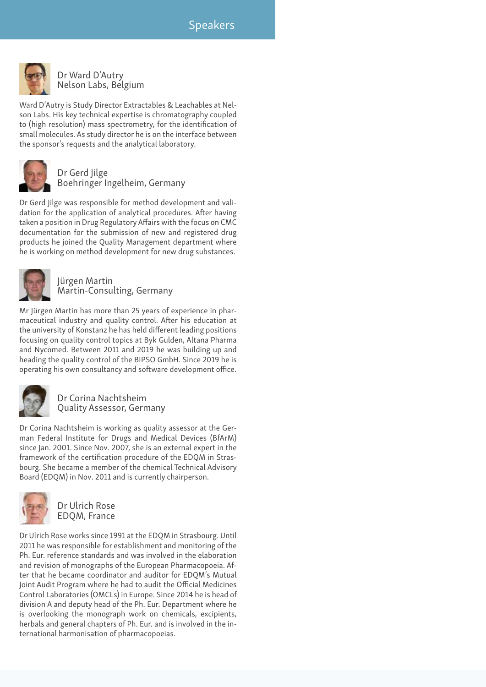

Dr Ward D'Autry Nelson Labs, Belgium

Ward D'Autry is Study Director Extractables & Leachables at Nelson Labs. His key technical expertise is chromatography coupled to (high resolution) mass spectrometry, for the identification of small molecules. As study director he is on the interface between the sponsor's requests and the analytical laboratory.



Dr Gerd Jilge Boehringer Ingelheim, Germany

Dr Gerd Jilge was responsible for method development and validation for the application of analytical procedures. After having taken a position in Drug Regulatory Affairs with the focus on CMC documentation for the submission of new and registered drug products he joined the Quality Management department where he is working on method development for new drug substances.



Jürgen Martin Martin-Consulting, Germany

Mr Jürgen Martin has more than 25 years of experience in pharmaceutical industry and quality control. After his education at the university of Konstanz he has held different leading positions focusing on quality control topics at Byk Gulden, Altana Pharma and Nycomed. Between 2011 and 2019 he was building up and heading the quality control of the BIPSO GmbH. Since 2019 he is operating his own consultancy and software development office.



Dr Corina Nachtsheim Quality Assessor, Germany

Dr Corina Nachtsheim is working as quality assessor at the German Federal Institute for Drugs and Medical Devices (BfArM) since Jan. 2001. Since Nov. 2007, she is an external expert in the framework of the certification procedure of the EDQM in Strasbourg. She became a member of the chemical Technical Advisory Board (EDQM) in Nov. 2011 and is currently chairperson.



Dr Ulrich Rose EDQM, France

Dr Ulrich Rose works since 1991 at the EDQM in Strasbourg. Until 2011 he was responsible for establishment and monitoring of the Ph. Eur. reference standards and was involved in the elaboration and revision of monographs of the European Pharmacopoeia. After that he became coordinator and auditor for EDQM's Mutual Joint Audit Program where he had to audit the Official Medicines Control Laboratories (OMCLs) in Europe. Since 2014 he is head of division A and deputy head of the Ph. Eur. Department where he is overlooking the monograph work on chemicals, excipients, herbals and general chapters of Ph. Eur. and is involved in the international harmonisation of pharmacopoeias.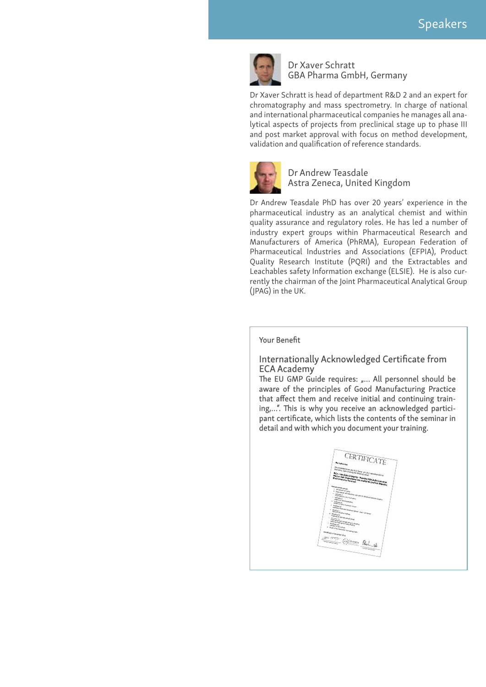

#### Dr Xaver Schratt GBA Pharma GmbH, Germany

Dr Xaver Schratt is head of department R&D 2 and an expert for chromatography and mass spectrometry. In charge of national and international pharmaceutical companies he manages all analytical aspects of projects from preclinical stage up to phase III and post market approval with focus on method development, validation and qualification of reference standards.



Dr Andrew Teasdale Astra Zeneca, United Kingdom

Dr Andrew Teasdale PhD has over 20 years' experience in the pharmaceutical industry as an analytical chemist and within quality assurance and regulatory roles. He has led a number of industry expert groups within Pharmaceutical Research and Manufacturers of America (PhRMA), European Federation of Pharmaceutical Industries and Associations (EFPIA), Product Quality Research Institute (PQRI) and the Extractables and Leachables safety Information exchange (ELSIE). He is also currently the chairman of the Joint Pharmaceutical Analytical Group (JPAG) in the UK.

#### Your Benefit

#### Internationally Acknowledged Certificate from ECA Academy

The EU GMP Guide requires: "... All personnel should be aware of the principles of Good Manufacturing Practice that affect them and receive initial and continuing training,…". This is why you receive an acknowledged participant certificate, which lists the contents of the seminar in detail and with which you document your training.